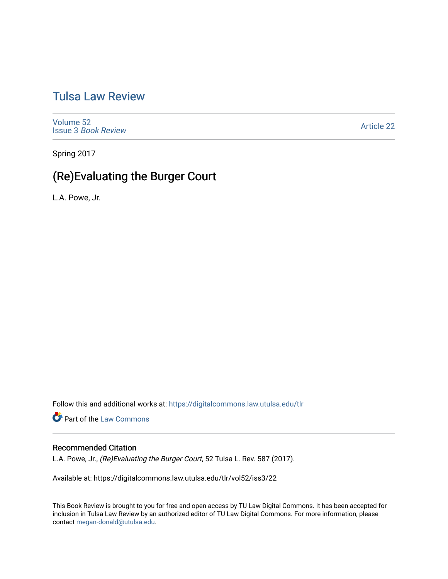# [Tulsa Law Review](https://digitalcommons.law.utulsa.edu/tlr)

[Volume 52](https://digitalcommons.law.utulsa.edu/tlr/vol52) Issue 3 [Book Review](https://digitalcommons.law.utulsa.edu/tlr/vol52/iss3)

[Article 22](https://digitalcommons.law.utulsa.edu/tlr/vol52/iss3/22) 

Spring 2017

# (Re)Evaluating the Burger Court

L.A. Powe, Jr.

Follow this and additional works at: [https://digitalcommons.law.utulsa.edu/tlr](https://digitalcommons.law.utulsa.edu/tlr?utm_source=digitalcommons.law.utulsa.edu%2Ftlr%2Fvol52%2Fiss3%2F22&utm_medium=PDF&utm_campaign=PDFCoverPages) 

**Part of the [Law Commons](http://network.bepress.com/hgg/discipline/578?utm_source=digitalcommons.law.utulsa.edu%2Ftlr%2Fvol52%2Fiss3%2F22&utm_medium=PDF&utm_campaign=PDFCoverPages)** 

# Recommended Citation

L.A. Powe, Jr., (Re)Evaluating the Burger Court, 52 Tulsa L. Rev. 587 (2017).

Available at: https://digitalcommons.law.utulsa.edu/tlr/vol52/iss3/22

This Book Review is brought to you for free and open access by TU Law Digital Commons. It has been accepted for inclusion in Tulsa Law Review by an authorized editor of TU Law Digital Commons. For more information, please contact [megan-donald@utulsa.edu.](mailto:megan-donald@utulsa.edu)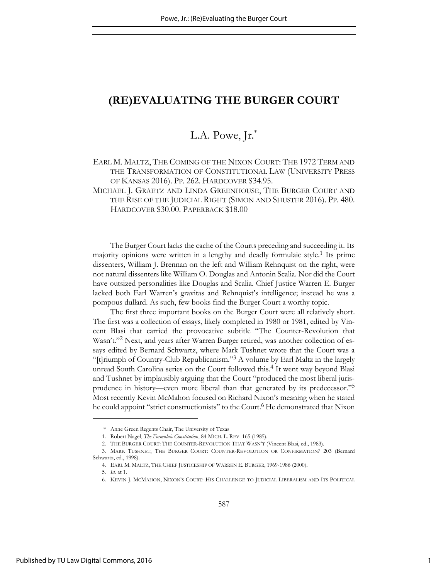# L.A. Powe, Jr.

EARL M. MALTZ, THE COMING OF THE NIXON COURT: THE 1972 TERM AND THE TRANSFORMATION OF CONSTITUTIONAL LAW (UNIVERSITY PRESS OF KANSAS 2016). PP. 262. HARDCOVER \$34.95.

MICHAEL J. GRAETZ AND LINDA GREENHOUSE, THE BURGER COURT AND THE RISE OF THE JUDICIAL RIGHT (SIMON AND SHUSTER 2016). PP. 480. HARDCOVER \$30.00. PAPERBACK \$18.00

The Burger Court lacks the cache of the Courts preceding and succeeding it. Its majority opinions were written in a lengthy and deadly formulaic style.<sup>1</sup> Its prime dissenters, William J. Brennan on the left and William Rehnquist on the right, were not natural dissenters like William O. Douglas and Antonin Scalia. Nor did the Court have outsized personalities like Douglas and Scalia. Chief Justice Warren E. Burger lacked both Earl Warren's gravitas and Rehnquist's intelligence; instead he was a pompous dullard. As such, few books find the Burger Court a worthy topic.

The first three important books on the Burger Court were all relatively short. The first was a collection of essays, likely completed in 1980 or 1981, edited by Vincent Blasi that carried the provocative subtitle "The Counter-Revolution that Wasn't."<sup>2</sup> Next, and years after Warren Burger retired, was another collection of essays edited by Bernard Schwartz, where Mark Tushnet wrote that the Court was a "[t]riumph of Country-Club Republicanism."<sup>3</sup> A volume by Earl Maltz in the largely unread South Carolina series on the Court followed this.<sup>4</sup> It went way beyond Blasi and Tushnet by implausibly arguing that the Court "produced the most liberal jurisprudence in history—even more liberal than that generated by its predecessor."<sup>5</sup> Most recently Kevin McMahon focused on Richard Nixon's meaning when he stated he could appoint "strict constructionists" to the Court.<sup>6</sup> He demonstrated that Nixon

 <sup>\*</sup> Anne Green Regents Chair, The University of Texas

<sup>1.</sup> Robert Nagel, *The Formulaic Constitution*, 84 MICH. L. REV. 165 (1985).

<sup>2.</sup> THE BURGER COURT: THE COUNTER-REVOLUTION THAT WASN'T (Vincent Blasi, ed., 1983).

<sup>3.</sup> MARK TUSHNET, THE BURGER COURT: COUNTER-REVOLUTION OR CONFIRMATION? 203 (Bernard Schwartz, ed., 1998).

<sup>4.</sup> EARL M. MALTZ, THE CHIEF JUSTICESHIP OF WARREN E. BURGER, 1969-1986 (2000).

<sup>5.</sup> *Id.* at 1.

<sup>6.</sup> KEVIN J. MCMAHON, NIXON'S COURT: HIS CHALLENGE TO JUDICIAL LIBERALISM AND ITS POLITICAL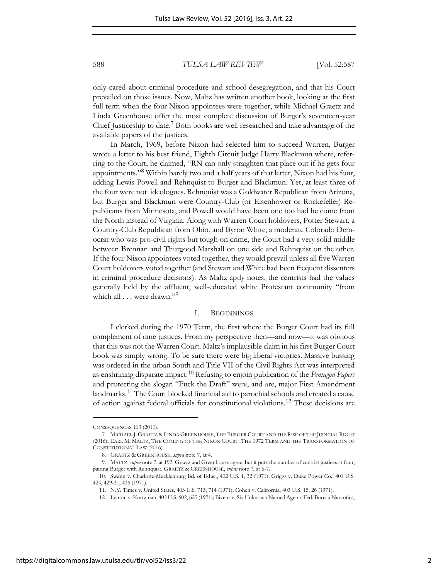only cared about criminal procedure and school desegregation, and that his Court prevailed on those issues. Now, Maltz has written another book, looking at the first full term when the four Nixon appointees were together, while Michael Graetz and Linda Greenhouse offer the most complete discussion of Burger's seventeen-year Chief Justiceship to date.<sup>7</sup> Both books are well researched and take advantage of the available papers of the justices.

In March, 1969, before Nixon had selected him to succeed Warren, Burger wrote a letter to his best friend, Eighth Circuit Judge Harry Blackmun where, referring to the Court, he claimed, "RN can only straighten that place out if he gets four appointments."<sup>8</sup> Within barely two and a half years of that letter, Nixon had his four, adding Lewis Powell and Rehnquist to Burger and Blackmun. Yet, at least three of the four were not ideologues. Rehnquist was a Goldwater Republican from Arizona, but Burger and Blackmun were Country-Club (or Eisenhower or Rockefeller) Republicans from Minnesota, and Powell would have been one too had he come from the North instead of Virginia. Along with Warren Court holdovers, Potter Stewart, a Country-Club Republican from Ohio, and Byron White, a moderate Colorado Democrat who was pro-civil rights but tough on crime, the Court had a very solid middle between Brennan and Thurgood Marshall on one side and Rehnquist on the other. If the four Nixon appointees voted together, they would prevail unless all five Warren Court holdovers voted together (and Stewart and White had been frequent dissenters in criminal procedure decisions). As Maltz aptly notes, the centrists had the values generally held by the affluent, well-educated white Protestant community "from which all . . . were drawn."<sup>9</sup>

## I. BEGINNINGS

I clerked during the 1970 Term, the first where the Burger Court had its full complement of nine justices. From my perspective then—and now—it was obvious that this was not the Warren Court. Maltz's implausible claim in his first Burger Court book was simply wrong. To be sure there were big liberal victories. Massive bussing was ordered in the urban South and Title VII of the Civil Rights Act was interpreted as enshrining disparate impact.10 Refusing to enjoin publication of the *Pentagon Papers* and protecting the slogan "Fuck the Draft" were, and are, major First Amendment landmarks.11 The Court blocked financial aid to parochial schools and created a cause of action against federal officials for constitutional violations.12 These decisions are

CONSEQUENCES 113 (2011).

<sup>7.</sup> MICHAEL J. GRAETZ & LINDA GREENHOUSE, THE BURGER COURT AND THE RISE OF THE JUDICIAL RIGHT (2016); EARL M. MALTZ, THE COMING OF THE NIXON COURT: THE 1972 TERM AND THE TRANSFORMATION OF CONSTITUTIONAL LAW (2016).

<sup>8.</sup> GRAETZ & GREENHOUSE, *supra* note 7, at 4.

<sup>9.</sup> MALTZ, *supra* note 7, at 192. Graetz and Greenhouse agree, but it puts the number of centrist justices at four, pairing Burger with Rehnquist. GRAETZ & GREENHOUSE, *supra* note 7, at 6-7.

<sup>10.</sup> Swann v. Charlotte-Mecklenburg Bd. of Educ., 402 U.S. 1, 32 (1971); Griggs v. Duke Power Co., 401 U.S. 424, 429-31, 436 (1971).

<sup>11.</sup> N.Y. Times v. United States, 403 U.S. 713, 714 (1971); Cohen v. California, 403 U.S. 15, 26 (1971).

<sup>12.</sup> Lemon v. Kurtzman, 403 U.S. 602, 625 (1971); Bivens v. Six Unknown Named Agents Fed. Bureau Narcotics,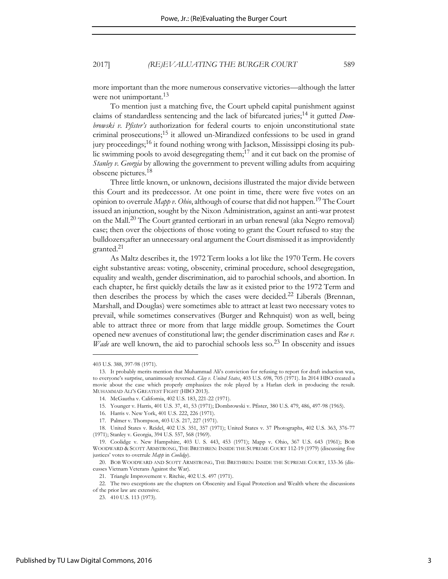more important than the more numerous conservative victories—although the latter were not unimportant.<sup>13</sup>

To mention just a matching five, the Court upheld capital punishment against claims of standardless sentencing and the lack of bifurcated juries;14 it gutted *Dombrowski v. Pfister's* authorization for federal courts to enjoin unconstitutional state criminal prosecutions;15 it allowed un-Mirandized confessions to be used in grand jury proceedings;16 it found nothing wrong with Jackson, Mississippi closing its public swimming pools to avoid desegregating them;17 and it cut back on the promise of *Stanley v. Georgia* by allowing the government to prevent willing adults from acquiring obscene pictures.<sup>18</sup>

Three little known, or unknown, decisions illustrated the major divide between this Court and its predecessor. At one point in time, there were five votes on an opinion to overrule *Mapp v. Ohio*, although of course that did not happen.19 The Court issued an injunction, sought by the Nixon Administration, against an anti-war protest on the Mall.20 The Court granted certiorari in an urban renewal (aka Negro removal) case; then over the objections of those voting to grant the Court refused to stay the bulldozers;after an unnecessary oral argument the Court dismissed it as improvidently granted.<sup>21</sup>

As Maltz describes it, the 1972 Term looks a lot like the 1970 Term. He covers eight substantive areas: voting, obscenity, criminal procedure, school desegregation, equality and wealth, gender discrimination, aid to parochial schools, and abortion. In each chapter, he first quickly details the law as it existed prior to the 1972 Term and then describes the process by which the cases were decided.<sup>22</sup> Liberals (Brennan, Marshall, and Douglas) were sometimes able to attract at least two necessary votes to prevail, while sometimes conservatives (Burger and Rehnquist) won as well, being able to attract three or more from that large middle group. Sometimes the Court opened new avenues of constitutional law; the gender discrimination cases and *Roe v. Wade* are well known, the aid to parochial schools less so.<sup>23</sup> In obscenity and issues

<sup>403</sup> U.S. 388, 397-98 (1971).

<sup>13.</sup> It probably merits mention that Muhammad Ali's conviction for refusing to report for draft induction was, to everyone's surprise, unanimously reversed. *Clay v. United States*, 403 U.S. 698, 705 (1971). In 2014 HBO created a movie about the case which properly emphasizes the role played by a Harlan clerk in producing the result. MUHAMMAD ALI'S GREATEST FIGHT (HBO 2013).

<sup>14.</sup> McGautha v. California, 402 U.S. 183, 221-22 (1971).

<sup>15.</sup> Younger v. Harris, 401 U.S. 37, 41, 53 (1971); Dombrowski v. Pfister, 380 U.S. 479, 486, 497-98 (1965).

<sup>16.</sup> Harris v. New York, 401 U.S. 222, 226 (1971).

<sup>17.</sup> Palmer v. Thompson, 403 U.S. 217, 227 (1971).

<sup>18.</sup> United States v. Reidel, 402 U.S. 351, 357 (1971); United States v. 37 Photographs, 402 U.S. 363, 376-77 (1971); Stanley v. Georgia, 394 U.S. 557, 568 (1969).

<sup>19.</sup> Coolidge v. New Hampshire, 403 U. S. 443, 453 (1971); Mapp v. Ohio, 367 U.S. 643 (1961); BOB WOODWARD & SCOTT ARMSTRONG, THE BRETHREN: INSIDE THE SUPREME COURT 112-19 (1979) (discussing five justices' votes to overrule *Mapp* in *Coolidge*).

<sup>20.</sup> BOB WOODWARD AND SCOTT ARMSTRONG, THE BRETHREN: INSIDE THE SUPREME COURT, 133-36 (discusses Vietnam Veterans Against the War).

<sup>21.</sup> Triangle Improvement v. Ritchie, 402 U.S. 497 (1971).

<sup>22.</sup> The two exceptions are the chapters on Obscenity and Equal Protection and Wealth where the discussions of the prior law are extensive.

<sup>23. 410</sup> U.S. 113 (1973).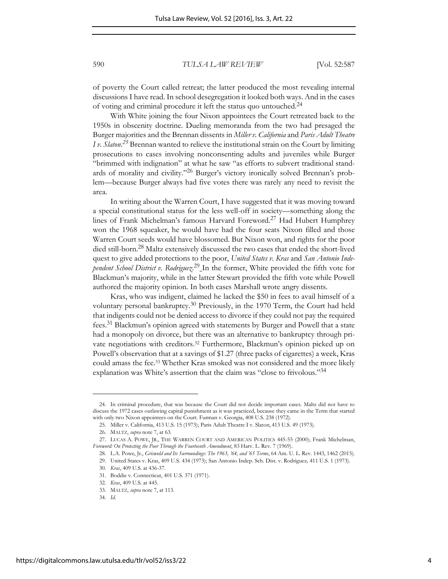of poverty the Court called retreat; the latter produced the most revealing internal discussions I have read. In school desegregation it looked both ways. And in the cases of voting and criminal procedure it left the status quo untouched.<sup>24</sup>

With White joining the four Nixon appointees the Court retreated back to the 1950s in obscenity doctrine. Dueling memoranda from the two had presaged the Burger majorities and the Brennan dissents in *Miller v. California* and *Paris Adult Theatre I v. Slaton*. *<sup>25</sup>* Brennan wanted to relieve the institutional strain on the Court by limiting prosecutions to cases involving nonconsenting adults and juveniles while Burger "brimmed with indignation" at what he saw "as efforts to subvert traditional standards of morality and civility."<sup>26</sup> Burger's victory ironically solved Brennan's problem—because Burger always had five votes there was rarely any need to revisit the area.

In writing about the Warren Court, I have suggested that it was moving toward a special constitutional status for the less well-off in society—something along the lines of Frank Michelman's famous Harvard Foreword.27 Had Hubert Humphrey won the 1968 squeaker, he would have had the four seats Nixon filled and those Warren Court seeds would have blossomed. But Nixon won, and rights for the poor died still-born.28 Maltz extensively discussed the two cases that ended the short-lived quest to give added protections to the poor, *United States v. Kras* and *San Antonio Independent School District v. Rodriguez*. <sup>29</sup> In the former, White provided the fifth vote for Blackmun's majority, while in the latter Stewart provided the fifth vote while Powell authored the majority opinion. In both cases Marshall wrote angry dissents.

Kras, who was indigent, claimed he lacked the \$50 in fees to avail himself of a voluntary personal bankruptcy.<sup>30</sup> Previously, in the 1970 Term, the Court had held that indigents could not be denied access to divorce if they could not pay the required fees.<sup>31</sup> Blackmun's opinion agreed with statements by Burger and Powell that a state had a monopoly on divorce, but there was an alternative to bankruptcy through private negotiations with creditors.<sup>32</sup> Furthermore, Blackmun's opinion picked up on Powell's observation that at a savings of \$1.27 (three packs of cigarettes) a week, Kras could amass the fee.33 Whether Kras smoked was not considered and the more likely explanation was White's assertion that the claim was "close to frivolous."<sup>34</sup>

<sup>24.</sup> In criminal procedure, that was because the Court did not decide important cases. Maltz did not have to discuss the 1972 cases outlawing capital punishment as it was practiced, because they came in the Term that started with only two Nixon appointees on the Court. Furman v. Georgia, 408 U.S. 238 (1972).

<sup>25.</sup> Miller v. California, 413 U.S. 15 (1973); Paris Adult Theatre I v. Slaton, 413 U.S. 49 (1973).

<sup>26.</sup> MALTZ, *supra* note 7, at 63.

<sup>27.</sup> LUCAS A. POWE, JR., THE WARREN COURT AND AMERICAN POLITICS 445-55 (2000); Frank Michelman, *Foreword: On Protecting the Poor Through the Fourteenth Amendment*, 83 Harv. L. Rev. 7 (1969).

<sup>28.</sup> L.A. Powe, Jr., *Griswold and Its Surroundings: The 1963, '64, and '65 Terms*, 64 Am. U. L. Rev. 1443, 1462 (2015).

<sup>29.</sup> United States v. Kras, 409 U.S. 434 (1973); San Antonio Indep. Sch. Dist. v. Rodriguez*,* 411 U.S. 1 (1973).

<sup>30.</sup> *Kras*, 409 U.S. at 436-37.

<sup>31.</sup> Boddie v. Connecticut, 401 U.S. 371 (1971).

<sup>32.</sup> *Kras*, 409 U.S. at 445.

<sup>33.</sup> MALTZ, *supra* note 7, at 113.

<sup>34.</sup> *Id*.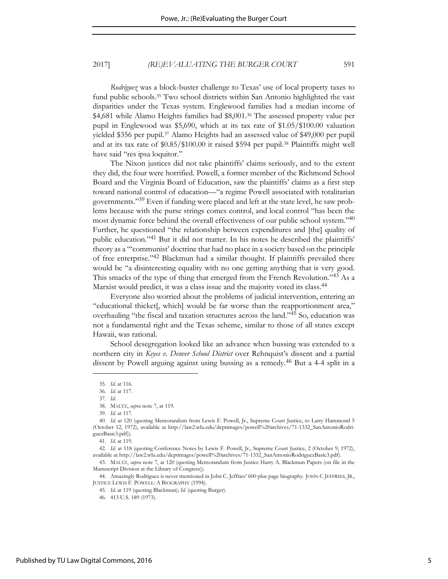*Rodriguez* was a block-buster challenge to Texas' use of local property taxes to fund public schools.35 Two school districts within San Antonio highlighted the vast disparities under the Texas system. Englewood families had a median income of \$4,681 while Alamo Heights families had \$8,001.36 The assessed property value per pupil in Englewood was \$5,690, which at its tax rate of \$1.05/\$100.00 valuation yielded \$356 per pupil.37 Alamo Heights had an assessed value of \$49,000 per pupil and at its tax rate of \$0.85/\$100.00 it raised \$594 per pupil.38 Plaintiffs might well have said "res ipsa loquitor."

The Nixon justices did not take plaintiffs' claims seriously, and to the extent they did, the four were horrified. Powell, a former member of the Richmond School Board and the Virginia Board of Education, saw the plaintiffs' claims as a first step toward national control of education—"a regime Powell associated with totalitarian governments."39 Even if funding were placed and left at the state level, he saw problems because with the purse strings comes control, and local control "has been the most dynamic force behind the overall effectiveness of our public school system."<sup>40</sup> Further, he questioned "the relationship between expenditures and [the] quality of public education."41 But it did not matter. In his notes he described the plaintiffs' theory as a "'communist' doctrine that had no place in a society based on the principle of free enterprise."42 Blackmun had a similar thought. If plaintiffs prevailed there would be "a disinteresting equality with no one getting anything that is very good. This smacks of the type of thing that emerged from the French Revolution."<sup>43</sup> As a Marxist would predict, it was a class issue and the majority voted its class.<sup>44</sup>

Everyone also worried about the problems of judicial intervention, entering an "educational thicket[, which] would be far worse than the reapportionment area," overhauling "the fiscal and taxation structures across the land."<sup>45</sup> So, education was not a fundamental right and the Texas scheme, similar to those of all states except Hawaii, was rational.

School desegregation looked like an advance when bussing was extended to a northern city in *Keyes v. Denver School District* over Rehnquist's dissent and a partial dissent by Powell arguing against using bussing as a remedy.46 But a 4-4 split in a

l

44. Amazingly Rodriguez is never mentioned in John C. Jeffries' 600 plus page biography. JOHN C JEFFRIES, JR., JUSTICE LEWIS F. POWELL: A BIOGRAPHY (1994).

<sup>35.</sup> *Id*. at 116.

<sup>36.</sup> *Id*. at 117.

<sup>37.</sup> *Id*.

<sup>38.</sup> MALTZ, *supra* note 7, at 119.

<sup>39.</sup> *Id.* at 117.

<sup>40.</sup> *Id*. at 120 (quoting Memorandum from Lewis F. Powell, Jr., Supreme Court Justice, to Larry Hammond 5 (October 12, 1972), available at http://law2.wlu.edu/deptimages/powell%20archives/71-1332\_SanAntonioRodriguezBasic3.pdf)).

<sup>41.</sup> *Id*. at 119.

<sup>42.</sup> *Id*. at 118 (quoting Conference Notes by Lewis F. Powell, Jr., Supreme Court Justice, 2 (October 9, 1972), available at http://law2.wlu.edu/deptimages/powell%20archives/71-1332\_SanAntonioRodriguezBasic3.pdf).

<sup>43.</sup> MALTZ, *supra* note 7, at 120 (quoting Memorandum from Justice Harry A. Blackmun Papers (on file in the Manuscript Division at the Library of Congress)).

<sup>45.</sup> *Id*. at 119 (quoting Blackmun); *Id*. (quoting Burger).

<sup>46. 413</sup> U.S. 189 (1973).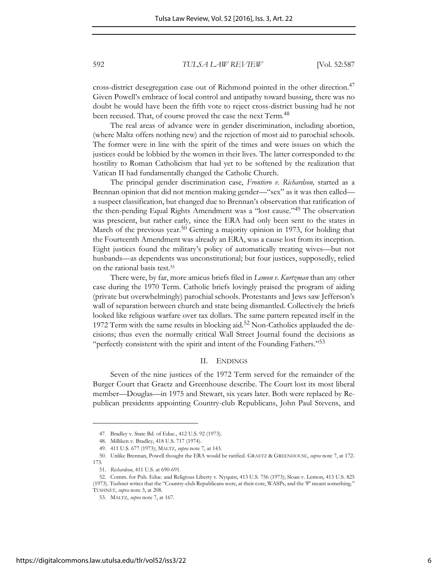cross-district desegregation case out of Richmond pointed in the other direction.<sup>47</sup> Given Powell's embrace of local control and antipathy toward bussing, there was no doubt he would have been the fifth vote to reject cross-district bussing had he not been recused. That, of course proved the case the next Term.<sup>48</sup>

The real areas of advance were in gender discrimination, including abortion, (where Maltz offers nothing new) and the rejection of most aid to parochial schools. The former were in line with the spirit of the times and were issues on which the justices could be lobbied by the women in their lives. The latter corresponded to the hostility to Roman Catholicism that had yet to be softened by the realization that Vatican II had fundamentally changed the Catholic Church.

The principal gender discrimination case, *Frontiero v. Richardson,* started as a Brennan opinion that did not mention making gender—"sex" as it was then called a suspect classification, but changed due to Brennan's observation that ratification of the then-pending Equal Rights Amendment was a "lost cause."49 The observation was prescient, but rather early, since the ERA had only been sent to the states in March of the previous year.<sup>50</sup> Getting a majority opinion in 1973, for holding that the Fourteenth Amendment was already an ERA, was a cause lost from its inception. Eight justices found the military's policy of automatically treating wives—but not husbands—as dependents was unconstitutional; but four justices, supposedly, relied on the rational basis test.<sup>51</sup>

There were, by far, more amicus briefs filed in *Lemon v. Kurtzman* than any other case during the 1970 Term. Catholic briefs lovingly praised the program of aiding (private but overwhelmingly) parochial schools. Protestants and Jews saw Jefferson's wall of separation between church and state being dismantled. Collectively the briefs looked like religious warfare over tax dollars. The same pattern repeated itself in the 1972 Term with the same results in blocking aid.<sup>52</sup> Non-Catholics applauded the decisions; thus even the normally critical Wall Street Journal found the decisions as "perfectly consistent with the spirit and intent of the Founding Fathers."<sup>53</sup>

#### II. ENDINGS

Seven of the nine justices of the 1972 Term served for the remainder of the Burger Court that Graetz and Greenhouse describe. The Court lost its most liberal member—Douglas—in 1975 and Stewart, six years later. Both were replaced by Republican presidents appointing Country-club Republicans, John Paul Stevens, and

<sup>47.</sup> Bradley v. State Bd. of Educ*.*, 412 U.S. 92 (1973).

<sup>48.</sup> Milliken v. Bradley, 418 U.S. 717 (1974).

<sup>49. 411</sup> U.S. 677 (1973); MALTZ, *supra* note 7, at 143.

<sup>50.</sup> Unlike Brennan, Powell thought the ERA would be ratified. GRAETZ & GREENHOUSE, *supra* note 7, at 172-

<sup>173.</sup>

<sup>51.</sup> *Richardson*, 411 U.S. at 690-691.

<sup>52.</sup> Comm. for Pub. Educ. and Religious Liberty v. Nyquist, 413 U.S. 756 (1973); Sloan v. Lemon, 413 U.S. 825 (1973). Tushnet writes that the "Country-club Republicans were, at their core, WASPs, and the 'P' meant something." TUSHNET, *supra* note 3, at 208.

<sup>53.</sup> MALTZ, *supra* note 7, at 167.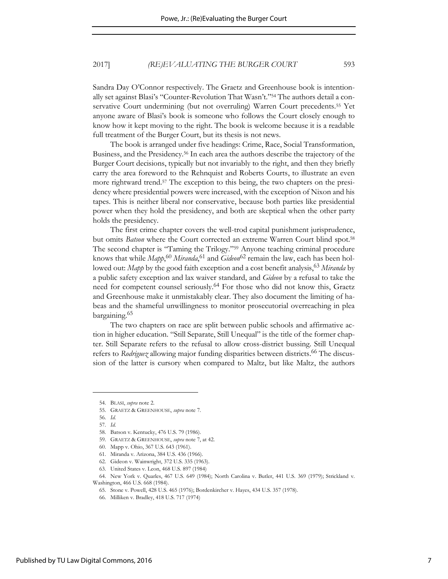Sandra Day O'Connor respectively. The Graetz and Greenhouse book is intentionally set against Blasi's "Counter-Revolution That Wasn't."54 The authors detail a conservative Court undermining (but not overruling) Warren Court precedents.55 Yet anyone aware of Blasi's book is someone who follows the Court closely enough to know how it kept moving to the right. The book is welcome because it is a readable full treatment of the Burger Court, but its thesis is not news.

The book is arranged under five headings: Crime, Race, Social Transformation, Business, and the Presidency.56 In each area the authors describe the trajectory of the Burger Court decisions, typically but not invariably to the right, and then they briefly carry the area foreword to the Rehnquist and Roberts Courts, to illustrate an even more rightward trend.57 The exception to this being, the two chapters on the presidency where presidential powers were increased, with the exception of Nixon and his tapes. This is neither liberal nor conservative, because both parties like presidential power when they hold the presidency, and both are skeptical when the other party holds the presidency.

The first crime chapter covers the well-trod capital punishment jurisprudence, but omits *Batson* where the Court corrected an extreme Warren Court blind spot.<sup>58</sup> The second chapter is "Taming the Trilogy."59 Anyone teaching criminal procedure knows that while *Mapp*, <sup>60</sup> *Miranda*, <sup>61</sup> and *Gideon*62 remain the law, each has been hollowed out: *Mapp* by the good faith exception and a cost benefit analysis,<sup>63</sup> *Miranda* by a public safety exception and lax waiver standard, and *Gideon* by a refusal to take the need for competent counsel seriously.<sup>64</sup> For those who did not know this, Graetz and Greenhouse make it unmistakably clear. They also document the limiting of habeas and the shameful unwillingness to monitor prosecutorial overreaching in plea bargaining.<sup>65</sup>

The two chapters on race are split between public schools and affirmative action in higher education. "Still Separate, Still Unequal" is the title of the former chapter. Still Separate refers to the refusal to allow cross-district bussing. Still Unequal refers to *Rodriguez* allowing major funding disparities between districts.<sup>66</sup> The discussion of the latter is cursory when compared to Maltz, but like Maltz, the authors

<sup>54.</sup> BLASI, *supra* note 2.

<sup>55.</sup> GRAETZ & GREENHOUSE, *supra* note 7.

<sup>56.</sup> *Id.*

<sup>57.</sup> *Id.*

<sup>58.</sup> Batson v. Kentucky, 476 U.S. 79 (1986).

<sup>59.</sup> GRAETZ & GREENHOUSE, *supra* note 7, at 42.

<sup>60.</sup> Mapp v. Ohio, 367 U.S. 643 (1961).

<sup>61.</sup> Miranda v. Arizona, 384 U.S. 436 (1966).

<sup>62.</sup> Gideon v. Wainwright, 372 U.S. 335 (1963).

<sup>63.</sup> United States v. Leon, 468 U.S. 897 (1984)

<sup>64.</sup> New York v. Quarles, 467 U.S. 649 (1984); North Carolina v. Butler, 441 U.S. 369 (1979); Strickland v. Washington, 466 U.S. 668 (1984).

<sup>65.</sup> Stone v. Powell, 428 U.S. 465 (1976); Bordenkircher v. Hayes, 434 U.S. 357 (1978).

<sup>66.</sup> Milliken v. Bradley, 418 U.S. 717 (1974)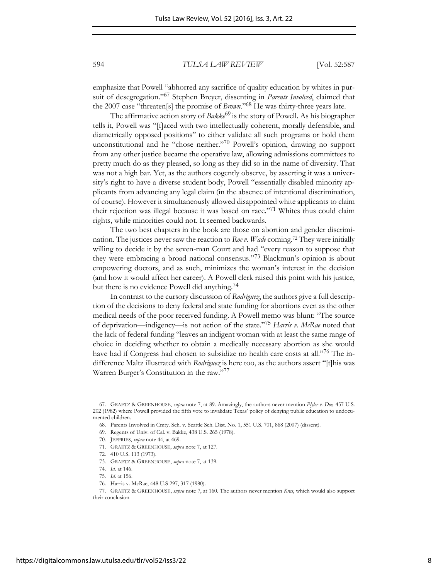emphasize that Powell "abhorred any sacrifice of quality education by whites in pursuit of desegregation."67 Stephen Breyer, dissenting in *Parents Involved*, claimed that the 2007 case "threaten[s] the promise of *Brown*."<sup>68</sup> He was thirty-three years late.

The affirmative action story of *Bakke*<sup>69</sup> is the story of Powell. As his biographer tells it, Powell was "[f]aced with two intellectually coherent, morally defensible, and diametrically opposed positions" to either validate all such programs or hold them unconstitutional and he "chose neither."<sup>70</sup> Powell's opinion, drawing no support from any other justice became the operative law, allowing admissions committees to pretty much do as they pleased, so long as they did so in the name of diversity. That was not a high bar. Yet, as the authors cogently observe, by asserting it was a university's right to have a diverse student body, Powell "essentially disabled minority applicants from advancing any legal claim (in the absence of intentional discrimination, of course). However it simultaneously allowed disappointed white applicants to claim their rejection was illegal because it was based on race."71 Whites thus could claim rights, while minorities could not. It seemed backwards.

The two best chapters in the book are those on abortion and gender discrimination. The justices never saw the reaction to *Roe v. Wade* coming.72 They were initially willing to decide it by the seven-man Court and had "every reason to suppose that they were embracing a broad national consensus."<sup>73</sup> Blackmun's opinion is about empowering doctors, and as such, minimizes the woman's interest in the decision (and how it would affect her career). A Powell clerk raised this point with his justice, but there is no evidence Powell did anything.<sup>74</sup>

In contrast to the cursory discussion of *Rodriguez*, the authors give a full description of the decisions to deny federal and state funding for abortions even as the other medical needs of the poor received funding. A Powell memo was blunt: "The source of deprivation—indigency—is not action of the state."<sup>75</sup> *Harris v. McRae* noted that the lack of federal funding "leaves an indigent woman with at least the same range of choice in deciding whether to obtain a medically necessary abortion as she would have had if Congress had chosen to subsidize no health care costs at all."<sup>76</sup> The indifference Maltz illustrated with *Rodriguez* is here too, as the authors assert "[t]his was Warren Burger's Constitution in the raw."<sup>77</sup>

<sup>67.</sup> GRAETZ & GREENHOUSE, *supra* note 7, at 89. Amazingly, the authors never mention *Plyler v. Doe,* 457 U.S. 202 (1982) where Powell provided the fifth vote to invalidate Texas' policy of denying public education to undocumented children.

<sup>68.</sup> Parents Involved in Cmty. Sch. v. Seattle Sch. Dist. No. 1, 551 U.S. 701, 868 (2007) (dissent).

<sup>69.</sup> Regents of Univ. of Cal. v. Bakke, 438 U.S. 265 (1978).

<sup>70.</sup> JEFFRIES, *supra* note 44, at 469.

<sup>71.</sup> GRAETZ & GREENHOUSE, *supra* note 7, at 127.

<sup>72. 410</sup> U.S. 113 (1973).

<sup>73.</sup> GRAETZ & GREENHOUSE, *supra* note 7, at 139.

<sup>74.</sup> *Id*. at 146.

<sup>75.</sup> *Id*. at 156.

<sup>76.</sup> Harris v. McRae, 448 U.S 297, 317 (1980).

<sup>77.</sup> GRAETZ & GREENHOUSE, *supra* note 7, at 160. The authors never mention *Kras*, which would also support their conclusion.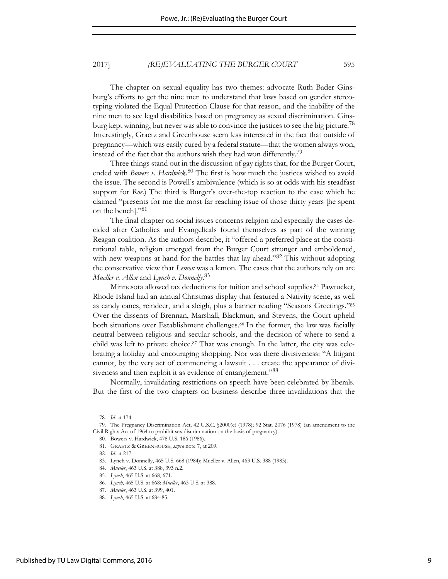The chapter on sexual equality has two themes: advocate Ruth Bader Ginsburg's efforts to get the nine men to understand that laws based on gender stereotyping violated the Equal Protection Clause for that reason, and the inability of the nine men to see legal disabilities based on pregnancy as sexual discrimination. Ginsburg kept winning, but never was able to convince the justices to see the big picture.<sup>78</sup> Interestingly, Graetz and Greenhouse seem less interested in the fact that outside of pregnancy—which was easily cured by a federal statute—that the women always won, instead of the fact that the authors wish they had won differently.<sup>79</sup>

Three things stand out in the discussion of gay rights that, for the Burger Court, ended with *Bowers v. Hardwick*. <sup>80</sup> The first is how much the justices wished to avoid the issue. The second is Powell's ambivalence (which is so at odds with his steadfast support for *Roe*.) The third is Burger's over-the-top reaction to the case which he claimed "presents for me the most far reaching issue of those thirty years [he spent on the bench]."<sup>81</sup>

The final chapter on social issues concerns religion and especially the cases decided after Catholics and Evangelicals found themselves as part of the winning Reagan coalition. As the authors describe, it "offered a preferred place at the constitutional table, religion emerged from the Burger Court stronger and emboldened, with new weapons at hand for the battles that lay ahead."<sup>82</sup> This without adopting the conservative view that *Lemon* was a lemon. The cases that the authors rely on are *Mueller v. Allen* and *Lynch v. Donnelly*. 83

Minnesota allowed tax deductions for tuition and school supplies.84 Pawtucket, Rhode Island had an annual Christmas display that featured a Nativity scene, as well as candy canes, reindeer, and a sleigh, plus a banner reading "Seasons Greetings."<sup>85</sup> Over the dissents of Brennan, Marshall, Blackmun, and Stevens, the Court upheld both situations over Establishment challenges.<sup>86</sup> In the former, the law was facially neutral between religious and secular schools, and the decision of where to send a child was left to private choice.87 That was enough. In the latter, the city was celebrating a holiday and encouraging shopping. Nor was there divisiveness: "A litigant cannot, by the very act of commencing a lawsuit . . . create the appearance of divisiveness and then exploit it as evidence of entanglement."88

Normally, invalidating restrictions on speech have been celebrated by liberals. But the first of the two chapters on business describe three invalidations that the

<sup>78.</sup> *Id.* at 174.

<sup>79.</sup> The Pregnancy Discrimination Act, 42 U.S.C. §2000(e) (1978); 92 Stat. 2076 (1978) (an amendment to the Civil Rights Act of 1964 to prohibit sex discrimination on the basis of pregnancy).

<sup>80.</sup> Bowers v. Hardwick, 478 U.S. 186 (1986).

<sup>81.</sup> GRAETZ & GREENHOUSE, *supra* note 7, at 209.

<sup>82.</sup> *Id.* at 217.

<sup>83.</sup> Lynch v. Donnelly, 465 U.S. 668 (1984); Mueller v. Allen, 463 U.S. 388 (1983).

<sup>84.</sup> *Mueller*, 463 U.S. at 388, 393 n.2.

<sup>85.</sup> *Lynch*, 465 U.S. at 668, 671.

<sup>86.</sup> *Lynch*, 465 U.S. at 668; *Mueller*, 463 U.S. at 388.

<sup>87.</sup> *Mueller*, 463 U.S. at 399, 401.

<sup>88.</sup> *Lynch*, 465 U.S. at 684-85.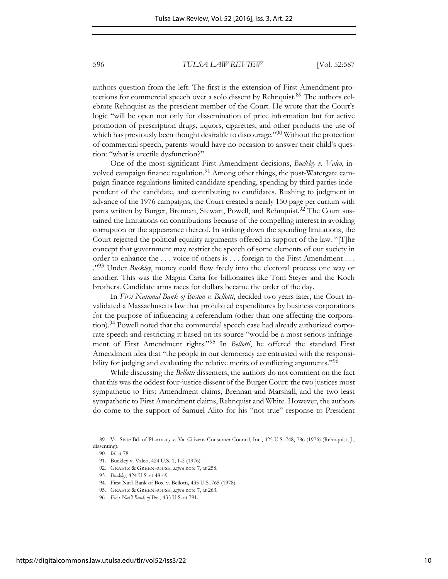authors question from the left. The first is the extension of First Amendment protections for commercial speech over a solo dissent by Rehnquist.<sup>89</sup> The authors celebrate Rehnquist as the prescient member of the Court. He wrote that the Court's logic "will be open not only for dissemination of price information but for active promotion of prescription drugs, liquors, cigarettes, and other products the use of which has previously been thought desirable to discourage."<sup>90</sup> Without the protection of commercial speech, parents would have no occasion to answer their child's question: "what is erectile dysfunction?"

One of the most significant First Amendment decisions, *Buckley v. Valeo*, involved campaign finance regulation.<sup>91</sup> Among other things, the post-Watergate campaign finance regulations limited candidate spending, spending by third parties independent of the candidate, and contributing to candidates. Rushing to judgment in advance of the 1976 campaigns, the Court created a nearly 150 page per curium with parts written by Burger, Brennan, Stewart, Powell, and Rehnquist.<sup>92</sup> The Court sustained the limitations on contributions because of the compelling interest in avoiding corruption or the appearance thereof. In striking down the spending limitations, the Court rejected the political equality arguments offered in support of the law. "[T]he concept that government may restrict the speech of some elements of our society in order to enhance the . . . voice of others is . . . foreign to the First Amendment . . . ." <sup>93</sup> Under *Buckley*, money could flow freely into the electoral process one way or another. This was the Magna Carta for billionaires like Tom Steyer and the Koch brothers. Candidate arms races for dollars became the order of the day.

In *First National Bank of Boston v. Bellotti*, decided two years later, the Court invalidated a Massachusetts law that prohibited expenditures by business corporations for the purpose of influencing a referendum (other than one affecting the corporation).<sup>94</sup> Powell noted that the commercial speech case had already authorized corporate speech and restricting it based on its source "would be a most serious infringement of First Amendment rights."95 In *Bellotti*, he offered the standard First Amendment idea that "the people in our democracy are entrusted with the responsibility for judging and evaluating the relative merits of conflicting arguments."<sup>96</sup>

While discussing the *Bellotti* dissenters, the authors do not comment on the fact that this was the oddest four-justice dissent of the Burger Court: the two justices most sympathetic to First Amendment claims, Brennan and Marshall, and the two least sympathetic to First Amendment claims, Rehnquist and White. However, the authors do come to the support of Samuel Alito for his "not true" response to President

<sup>89.</sup> Va. State Bd. of Pharmacy v. Va. Citizens Consumer Council, Inc., 425 U.S. 748, 786 (1976) (Rehnquist, J., dissenting).

<sup>90.</sup> *Id.* at 781.

<sup>91.</sup> Buckley v. Valeo, 424 U.S. 1, 1-2 (1976).

<sup>92.</sup> GRAETZ & GREENHOUSE, *supra* note 7, at 258.

<sup>93.</sup> *Buckley*, 424 U.S. at 48-49.

<sup>94.</sup> First Nat'l Bank of Bos. v. Bellotti, 435 U.S. 765 (1978).

<sup>95.</sup> GRAETZ & GREENHOUSE, *supra* note 7, at 263.

<sup>96.</sup> *First Nat'l Bank of Bos.*, 435 U.S. at 791.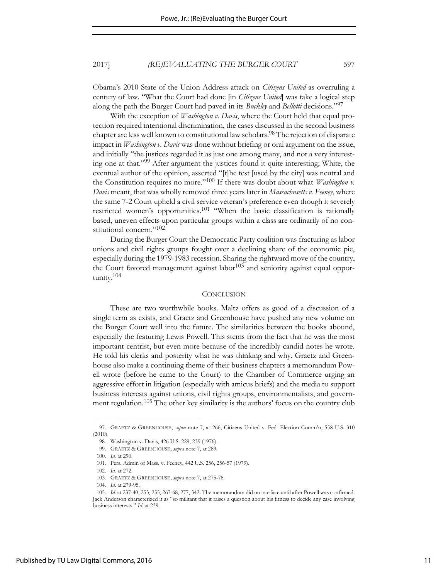Obama's 2010 State of the Union Address attack on *Citizens United* as overruling a century of law. "What the Court had done [in *Citizens United*] was take a logical step along the path the Burger Court had paved in its *Buckley* and *Bellotti* decisions."<sup>97</sup>

With the exception of *Washington v. Davis*, where the Court held that equal protection required intentional discrimination, the cases discussed in the second business chapter are less well known to constitutional law scholars.<sup>98</sup> The rejection of disparate impact in *Washington v. Davis* was done without briefing or oral argument on the issue, and initially "the justices regarded it as just one among many, and not a very interesting one at that."99 After argument the justices found it quite interesting; White, the eventual author of the opinion, asserted "[t]he test [used by the city] was neutral and the Constitution requires no more."100 If there was doubt about what *Washington v. Davis* meant, that was wholly removed three years later in *Massachusetts v. Feeney*, where the same 7-2 Court upheld a civil service veteran's preference even though it severely restricted women's opportunities.<sup>101</sup> "When the basic classification is rationally based, uneven effects upon particular groups within a class are ordinarily of no constitutional concern."<sup>102</sup>

During the Burger Court the Democratic Party coalition was fracturing as labor unions and civil rights groups fought over a declining share of the economic pie, especially during the 1979-1983 recession. Sharing the rightward move of the country, the Court favored management against labor $103$  and seniority against equal opportunity.<sup>104</sup>

#### **CONCLUSION**

These are two worthwhile books. Maltz offers as good of a discussion of a single term as exists, and Graetz and Greenhouse have pushed any new volume on the Burger Court well into the future. The similarities between the books abound, especially the featuring Lewis Powell. This stems from the fact that he was the most important centrist, but even more because of the incredibly candid notes he wrote. He told his clerks and posterity what he was thinking and why. Graetz and Greenhouse also make a continuing theme of their business chapters a memorandum Powell wrote (before he came to the Court) to the Chamber of Commerce urging an aggressive effort in litigation (especially with amicus briefs) and the media to support business interests against unions, civil rights groups, environmentalists, and government regulation.<sup>105</sup> The other key similarity is the authors' focus on the country club

<sup>97.</sup> GRAETZ & GREENHOUSE, *supra* note 7, at 266; Citizens United v. Fed. Election Comm'n, 558 U.S. 310 (2010).

<sup>98.</sup> Washington v. Davis, 426 U.S. 229, 239 (1976).

<sup>99.</sup> GRAETZ & GREENHOUSE, *supra* note 7, at 289.

<sup>100.</sup> *Id.* at 290.

<sup>101.</sup> Pers. Admin of Mass. v. Feeney, 442 U.S. 256, 256-57 (1979).

<sup>102.</sup> *Id.* at 272.

<sup>103.</sup> GRAETZ & GREENHOUSE, *supra* note 7, at 275-78.

<sup>104.</sup> *Id*. at 279-95.

<sup>105.</sup> *Id.* at 237-40, 253, 255, 267-68, 277, 342. The memorandum did not surface until after Powell was confirmed. Jack Anderson characterized it as "so militant that it raises a question about his fitness to decide any case involving business interests." *Id.* at 239.